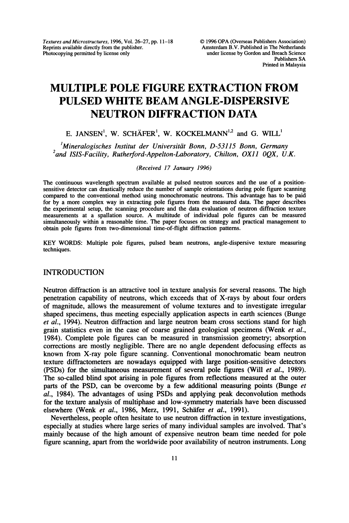Textures and Microstructures, 1996, Vol. 26-27, pp. 11-18 Reprints available directly from the publisher. Photocopying permitted by license only

# MULTIPLE POLE FIGURE EXTRACTION FROM PULSED WHITE BEAM ANGLE-DISPERSIVE NEUTRON DIFFRACTION DATA

## E. JANSEN<sup>1</sup>, W. SCHÄFER<sup>1</sup>, W. KOCKELMANN<sup>1,2</sup> and G. WILL<sup>1</sup>

 $M$ ineralogisches Institut der Universität Bonn, D-53115 Bonn, Germany  $^{2}$ and ISIS-Facility, Rutherford-Appelton-Laboratory, Chilton, OX11 0QX, U.K.

#### (Received 17 January 1996)

The continuous wavelength spectrum available at pulsed neutron sources and the use of a positionsensitive detector can drastically reduce the number of sample orientations during pole figure scanning compared to the conventional method using monochromatic neutrons. This advantage has to be paid for by a more complex way in extracting pole figures from the measured data. The paper describes the experimental setup, the scanning procedure and the data evaluation of neutron diffraction texture measurements at <sup>a</sup> spallation source. A multitude of individual pole figures can be measured simultaneously within a reasonable time. The paper focuses on strategy and practical management to obtain pole figures from two-dimensional time-of-flight diffraction patterns.

KEY WORDS: Multiple pole figures, pulsed beam neutrons, angle-dispersive texture measuring techniques.

## INTRODUCTION

Neutron diffraction is an attractive tool in texture analysis for several reasons. The high penetration capability of neutrons, which exceeds that of X-rays by about four orders of magnitude, allows the measurement of volume textures and to investigate irregular shaped specimens, thus meeting especially application aspects in earth sciences (Bunge et al., 1994). Neutron diffraction and large neutron beam cross sections stand for high grain statistics even in the case of coarse grained geological specimens (Wenk *et al.*, 1984). Complete pole figures can be measured in transmission geometry; absorption corrections are mostly negligible. There are no angle dependent defocusing effects as known from X-ray pole figure scanning. Conventional monochromatic beam neutron texture diffractometers are nowadays equipped with large position-sensitive detectors (PSDs) for the simultaneous measurement of several pole figures (Will et al., 1989). The so-called blind spot arising in pole figures from reflections measured at the outer parts of the PSD, can be overcome by a few additional measuring points (Bunge et al., 1984). The advantages of using PSDs and applying peak deconvolution methods for the textm'e analysis of multiphase and low-symmetry materials have been discussed elsewhere (Wenk et al., 1986, Merz, 1991, Schafer et al., 1991).

Nevertheless, people often hesitate to use neutron diffraction in texture investigations, especially at studies where large series of many individual samples are involved. That's mainly because of the high amount of expensive neutron beam time needed for pole figure scanning, apart from the worldwide poor availability of neutron instruments. Long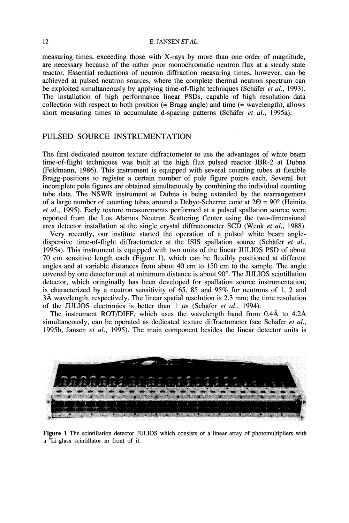#### 12 **E. JANSEN ET AL.**

measuring times, exceeding those with X-rays by more than one order of magnitude, are necessary because of the rather poor monochromatic neutron flux at a steady state reactor. Essential reductions of neutron diffraction measuring times, however, can be achieved at pulsed neutron sources, where the complete thermal neutron spectrum can be exploited simultaneously by applying time-of-flight techniques (Schäfer et al., 1993). The installation of high performance linear PSDs, capable of high resolution data collection with respect to both position  $(= \text{Bragg angle})$  and time  $(= \text{wavelength})$ , allows short measuring times to accumulate d-spacing patterns (Schäfer et al., 1995a).

## PULSED SOURCE INSTRUMENTATION

The first dedicated neutron texture diffractometer to use the advantages of white beam time-of-flight techniques was built at the high flux pulsed reactor IBR-2 at Dubna (Feldmann, 1986). This instrument is equipped with several counting tubes at flexible Bragg-positions to register a certain number of pole figure points each. Several but incomplete pole figures are obtained simultanously by combining the individual counting tube data. The NSWR instrument at Dubna is being extended by the rearrangement of a large number of counting tubes around a Debye-Scherrer cone at  $2\Theta = 90^\circ$  (Heinitz et al., 1995). Early texture measurements performed at a pulsed spallation source were reported from the Los Alamos Neutron Scattering Center using the two-dimensional area detector installation at the single crystal diffractometer SCD (Wenk et al., 1988).

Very recently, our institute started the operation of a pulsed white beam angledispersive time-of-flight diffractometer at the ISIS spallation source (Schäfer et al., 1995a). This instrument is equipped with two units of the linear JULIOS PSD of about 70 cm sensitive length each (Figure 1), which can be flexibly positioned at different angles and at variable distances from about 40 cm to 150 cm to the sample. The angle covered by one detector unit at minimum distance is about  $90^\circ$ . The JULIOS scintillation detector, which oringinally has been developed for spallation source instrumentation, is characterized by a neutron sensitivity of 65, 85 and 95% for neutrons of 1, 2 and  $3\text{\AA}$  wavelength, respectively. The linear spatial resolution is 2.3 mm; the time resolution of the JULIOS electronics is better than  $1 \mu s$  (Schäfer et al., 1994).

The instrument ROT/DIFF, which uses the wavelength band from  $0.4\text{\AA}$  to  $4.2\text{\AA}$ simultaneously, can be operated as dedicated texture diffractometer (see Schäfer  $et al.,$ 1995b, Jansen et al., 1995). The main component besides the linear detector units is



Figure 1 The scintillation detector JULIOS which consists of a linear array of photomultipliers with a 6Li-glass scintillator in front of it.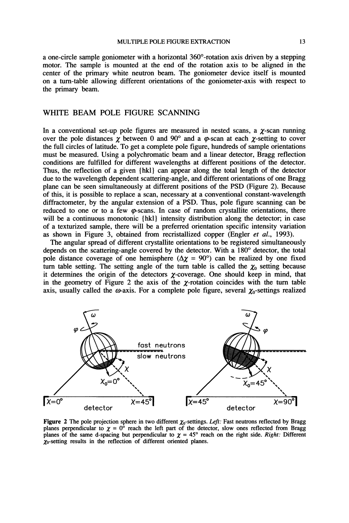a one-circle sample goniometer with a horizontal  $360^{\circ}$ -rotation axis driven by a stepping motor. The sample is mounted at the end of the rotation axis to be aligned in the center of the primary white neutron beam. The goniometer device itself is mounted on a turn-table allowing different orientations of the goniometer-axis with respect to the primary beam.

## WHITE BEAM POLE FIGURE SCANNING

In a conventional set-up pole figures are measured in nested scans, a  $\gamma$ -scan running over the pole distances  $\chi$  between 0 and 90° and a  $\varphi$ -scan at each  $\chi$ -setting to cover the full circles of latitude. To get a complete pole figure, hundreds of sample orientations must be measured. Using a polychromatic beam and a linear detector, Bragg reflection conditions are fulfilled for different wavelengths at different positions of the detector. Thus, the reflection of a given {hkl} can appear along the total length of the detector due to the wavelength dependent scattering-angle, and different orientations of one Bragg plane can be seen simultaneously at different positions of the PSD (Figure 2). Because of this, it is possible to replace a scan, necessary at a conventional constant-wavelength diffractometer, by the angular extension of a PSD. Thus, pole figure scanning can be reduced to one or to a few  $\varphi$ -scans. In case of random crystallite orientations, there will be a continuous monotonic {hkl} intensity distribution along the detector; in case of a texturized sample, there will be a preferred orientation specific intensity variation as shown in Figure 3, obtained from recristallized copper (Engler et al., 1993).

The angular spread of different crystallite orientations to be registered simultaneously depends on the scattering-angle covered by the detector. With a 180° detector, the total pole distance coverage of one hemisphere ( $\Delta \chi = 90^{\circ}$ ) can be realized by one fixed turn table setting. The setting angle of the turn table is called the  $\chi_0$  setting because it determines the origin of the detectors  $\chi$ -coverage. One should keep in mind, that in the geometry of Figure 2 the axis of the  $\chi$ -rotation coincides with the turn table axis, usually called the  $\omega$ -axis. For a complete pole figure, several  $\chi_0$ -settings realized



Figure 2 The pole projection sphere in two different  $\chi_0$ -settings. Left: Fast neutrons reflected by Bragg planes perpendicular to  $\chi = 0^{\circ}$  reach the left part of the detector, slow ones reflected from Bragg planes of the same d-spacing but perpendicular to  $\chi = 45^\circ$  reach on the right side. Right: Different  $\chi_0$ -setting results in the reflection of different oriented planes.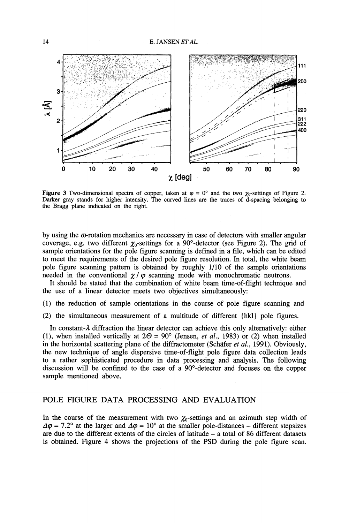

Figure 3 Two-dimensional spectra of copper, taken at  $\varphi = 0^{\circ}$  and the two  $\chi_0$ -settings of Figure 2. Darker gray stands for higher intensity. The curved lines are the traces of d-spacing belonging to the Bragg plane indicated on the right.

by using the  $\omega$ -rotation mechanics are necessary in case of detectors with smaller angular coverage, e.g. two different  $\chi_0$ -settings for a 90°-detector (see Figure 2). The grid of sample orientations for the pole figure scanning is defined in a file, which can be edited to meet the requirements of the desired pole figure resolution. In total, the white beam pole figure scanning pattern is obtained by roughly 1/10 of the sample orientations needed in the conventional  $\chi/\varphi$  scanning mode with monochromatic neutrons.

It should be stated that the combination of white beam time-of-flight technique and the use of a linear detector meets two objectives simultaneously:

- (1) the reduction of sample orientations in the course of pole figure scanning and
- (2) the simultaneous measurement of a multitude of different {hkl} pole figures.

In constant- $\lambda$  diffraction the linear detector can achieve this only alternatively: either (1), when installed vertically at  $2\Theta = 90^\circ$  (Jensen, *et al.*, 1983) or (2) when installed in the horizontal scattering plane of the diffractometer (Schäfer et al., 1991). Obviously, the new technique of angle dispersive time-of-flight pole figure data collection leads to a rather sophisticated procedure in data processing and analysis. The following discussion will be confined to the case of a 90-detector and focuses on the copper sample mentioned above.

#### POLE FIGURE DATA PROCESSING AND EVALUATION

In the course of the measurement with two  $\chi_0$ -settings and an azimuth step width of  $\Delta \varphi = 7.2^{\circ}$  at the larger and  $\Delta \varphi = 10^{\circ}$  at the smaller pole-distances – different stepsizes are due to the different extents of the circles of latitude  $-$  a total of 86 different datasets is obtained. Figure 4 shows the projections of the PSD during the pole figure scan.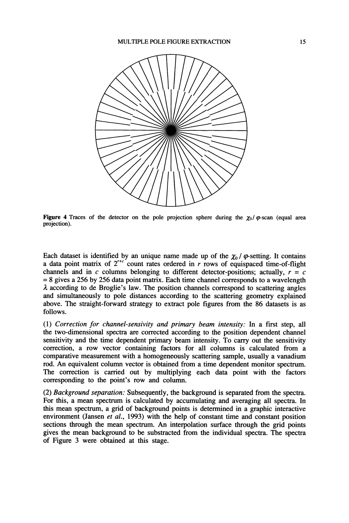

Figure 4 Traces of the detector on the pole projection sphere during the  $\chi_0/\varphi$ -scan (equal area projection).

Each dataset is identified by an unique name made up of the  $\chi_0/\varphi$ -setting. It contains a data point matrix of  $2^{r+c}$  count rates ordered in r rows of equispaced time-of-flight channels and in c columns belonging to different detector-positions; actually,  $r = c$  $= 8$  gives a 256 by 256 data point matrix. Each time channel corresponds to a wavelength  $\lambda$  according to de Broglie's law. The position channels correspond to scattering angles and simultaneously to pole distances according to the scattering geometry explained above. The straight-forward strategy to extract pole figures from the 86 datasets is as follows.

(1) Correction for channel-sensivity and primary beam intensity: In a first step, all the two-dimensional spectra are corrected according to the position dependent channel sensitivity and the time dependent primary beam intensity. To carry out the sensitivity correction, a row vector containing factors for all columns is calculated from a comparative measurement with a homogeneously scattering sample, usually a vanadium rod. An equivalent column vector is obtained from a time dependent monitor spectrum. The correction is carried out by multiplying each data point with the factors corresponding to the point's row and column.

(2) Background separation: Subsequently, the background is separated from the spectra. For this, a mean spectrum is calculated by accumulating and averaging all spectra. In this mean spectrum, a grid of background points is determined in a graphic interactive environment (Jansen et al., 1993) with the help of constant time and constant position sections through the mean spectrum. An interpolation surface through the grid points gives the mean background to be substracted from the individual spectra. The spectra of Figure 3 were obtained at this stage.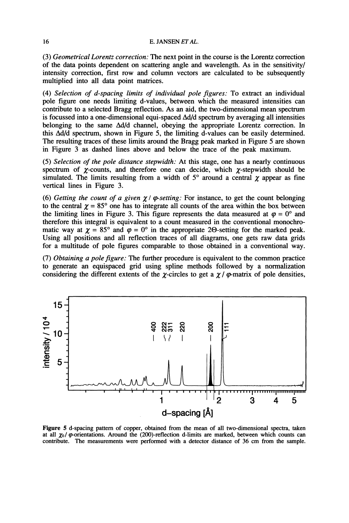#### 16 E. JANSEN ET AL.

(3) Geometrical Lorentz correction: The next point in the course is the Lorentz correction of the data points dependent on scattering angle and wavelength. As in the sensitivity/ intensity correction, first row and column vectors are calculated to be subsequently multiplied into all data point matrices.

(4) Selection of d-spacing limits of individual pole figures: To extract an individual pole figure one needs limiting d-values, between which the measured intensities can contribute to a selected Bragg reflection. As an aid, the two-dimensional mean spectrum is focussed into a one-dimensional equi-spaced  $\Delta d/d$  spectrum by averaging all intensities belonging to the same Ad/d channel, obeying the appropriate Lorentz correction. In this  $\Delta d/d$  spectrum, shown in Figure 5, the limiting d-values can be easily determined. The resulting traces of these limits around the Bragg peak marked in Figure 5 are shown in Figure 3 as dashed lines above and below the trace of the peak maximum.

(5) Selection of the pole distance stepwidth: At this stage, one has a nearly continuous spectrum of  $\chi$ -counts, and therefore one can decide, which  $\chi$ -stepwidth should be simulated. The limits resulting from a width of  $5^{\circ}$  around a central  $\chi$  appear as fine vertical lines in Figure 3.

(6) Getting the count of a given  $\chi/\varphi$ -setting: For instance, to get the count belonging to the central  $\chi = 85^\circ$  one has to integrate all counts of the area within the box between the limiting lines in Figure 3. This figure represents the data measured at  $\varphi = 0^{\circ}$  and therefore this integral is equivalent to a count measured in the conventional monochromatic way at  $\chi = 85^\circ$  and  $\varphi = 0^\circ$  in the appropriate 20-setting for the marked peak. Using all positions and all reflection traces of all diagrams, one gets raw data grids for a multitude of pole figures comparable to those obtained in a conventional way.

(7) Obtaining a pole figure: The further procedure is equivalent to the common practice to generate an equispaced grid using spline methods followed by a normalization considering the different extents of the  $\gamma$ -circles to get a  $\gamma/\varphi$ -matrix of pole densities,



Figure 5 d-spacing pattern of copper, obtained from the mean of all two-dimensional spectra, taken at all  $\chi_0$  /  $\varphi$ -orientations. Around the (200)-reflection d-limits are marked, between which counts can contribute. The measurements were performed with a detector distance of 36 cm from the sample.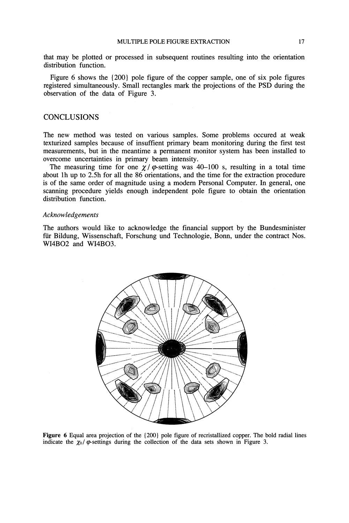that may be plotted or processed in subsequent routines resulting into the orientation distribution function.

Figure 6 shows the {200} pole figure of the copper sample, one of six pole figures registered simultaneously. Small rectangles mark the projections of the PSD during the observation of the data of Figure 3.

## **CONCLUSIONS**

The new method was tested on various samples. Some problems occured at weak texturized samples because of insuffient primary beam monitoring during the first test measurements, but in the meantime a permanent monitor system has been installed to overcome uncertainties in primary beam intensity.

The measuring time for one  $\chi/\varphi$ -setting was 40-100 s, resulting in a total time about lh up to 2.5h for all the 86 orientations, and the time for the extraction procedure is of the same order of magnitude using a modem Personal Computer. In general, one scanning procedure yields enough independent pole figure to obtain the orientation distribution function.

#### Acknowledgements

The authors would like to acknowledge the financial support by the Bundesminister für Bildung, Wissenschaft, Forschung und Technologie, Bonn, under the contract Nos. WI4BO2 and WI4BO3.



Figure 6 Equal area projection of the  ${200}$  pole figure of recristallized copper. The bold radial lines indicate the  $\chi_0/\varphi$ -settings during the collection of the data sets shown in Figure 3.